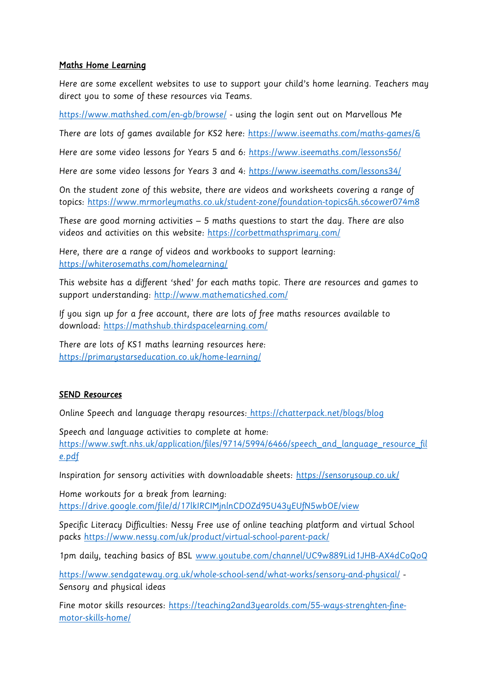## Maths Home Learning

Here are some excellent websites to use to support your child's home learning. Teachers may direct you to some of these resources via Teams.

<https://www.mathshed.com/en-gb/browse/> - using the login sent out on Marvellous Me

There are lots of games available for KS2 here: https://www.iseemaths.com/maths-games/&

Here are some video lessons for Years 5 and 6:<https://www.iseemaths.com/lessons56/>

Here are some video lessons for Years 3 and 4:<https://www.iseemaths.com/lessons34/>

On the student zone of this website, there are videos and worksheets covering a range of topics: https://www.mrmorleymaths.co.uk/student-zone/foundation-topics&h.s6cower074m8

These are good morning activities – 5 maths questions to start the day. There are also videos and activities on this website:<https://corbettmathsprimary.com/>

Here, there are a range of videos and workbooks to support learning: <https://whiterosemaths.com/homelearning/>

This website has a different 'shed' for each maths topic. There are resources and games to support understanding:<http://www.mathematicshed.com/>

If you sign up for a free account, there are lots of free maths resources available to download:<https://mathshub.thirdspacelearning.com/>

There are lots of KS1 maths learning resources here: <https://primarystarseducation.co.uk/home-learning/>

## SEND Resources

Online Speech and language therapy resources: <https://chatterpack.net/blogs/blog>

Speech and language activities to complete at home: [https://www.swft.nhs.uk/application/files/9714/5994/6466/speech\\_and\\_language\\_resource\\_fil](https://www.swft.nhs.uk/application/files/9714/5994/6466/speech_and_language_resource_file.pdf) [e.pdf](https://www.swft.nhs.uk/application/files/9714/5994/6466/speech_and_language_resource_file.pdf)

Inspiration for sensory activities with downloadable sheets:<https://sensorysoup.co.uk/>

Home workouts for a break from learning: <https://drive.google.com/file/d/17lkIRCIMjnlnCDOZd95U43yEUfN5wbOE/view>

Specific Literacy Difficulties: Nessy Free use of online teaching platform and virtual School packs<https://www.nessy.com/uk/product/virtual-school-parent-pack/>

1pm daily, teaching basics of BSL [www.youtube.com/channel/UC9w889Lid1JHB-AX4dCoQoQ](http://www.youtube.com/channel/UC9w889Lid1JHB-AX4dCoQoQ)

<https://www.sendgateway.org.uk/whole-school-send/what-works/sensory-and-physical/> - Sensory and physical ideas

Fine motor skills resources: [https://teaching2and3yearolds.com/55-ways-strenghten-fine](https://teaching2and3yearolds.com/55-ways-strenghten-fine-motor-skills-home/)[motor-skills-home/](https://teaching2and3yearolds.com/55-ways-strenghten-fine-motor-skills-home/)